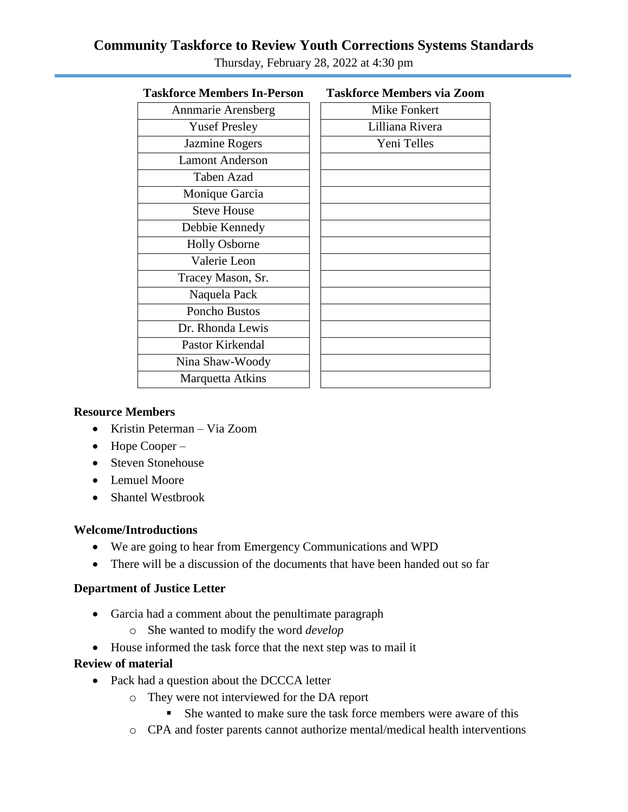# **Community Taskforce to Review Youth Corrections Systems Standards**

| <b>Taskforce Members In-Person</b> | <b>Taskforce Members via Zoom</b> |
|------------------------------------|-----------------------------------|
| Annmarie Arensberg                 | Mike Fonkert                      |
| <b>Yusef Presley</b>               | Lilliana Rivera                   |
| Jazmine Rogers                     | Yeni Telles                       |
| <b>Lamont Anderson</b>             |                                   |
| Taben Azad                         |                                   |
| Monique Garcia                     |                                   |
| <b>Steve House</b>                 |                                   |
| Debbie Kennedy                     |                                   |
| <b>Holly Osborne</b>               |                                   |
| Valerie Leon                       |                                   |
| Tracey Mason, Sr.                  |                                   |
| Naquela Pack                       |                                   |
| Poncho Bustos                      |                                   |
| Dr. Rhonda Lewis                   |                                   |
| Pastor Kirkendal                   |                                   |
| Nina Shaw-Woody                    |                                   |
| Marquetta Atkins                   |                                   |
|                                    |                                   |

Thursday, February 28, 2022 at 4:30 pm

#### **Resource Members**

- Kristin Peterman Via Zoom
- $\bullet$  Hope Cooper –
- Steven Stonehouse
- Lemuel Moore
- Shantel Westbrook

#### **Welcome/Introductions**

- We are going to hear from Emergency Communications and WPD
- There will be a discussion of the documents that have been handed out so far

#### **Department of Justice Letter**

- Garcia had a comment about the penultimate paragraph
	- o She wanted to modify the word *develop*
- House informed the task force that the next step was to mail it

#### **Review of material**

- Pack had a question about the DCCCA letter
	- o They were not interviewed for the DA report
		- She wanted to make sure the task force members were aware of this
	- o CPA and foster parents cannot authorize mental/medical health interventions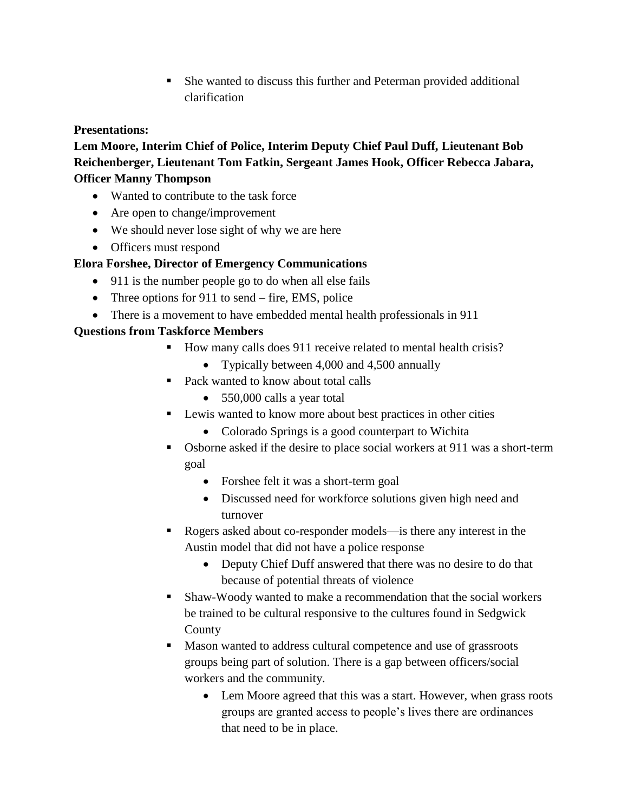She wanted to discuss this further and Peterman provided additional clarification

## **Presentations:**

**Lem Moore, Interim Chief of Police, Interim Deputy Chief Paul Duff, Lieutenant Bob Reichenberger, Lieutenant Tom Fatkin, Sergeant James Hook, Officer Rebecca Jabara, Officer Manny Thompson** 

- Wanted to contribute to the task force
- Are open to change/improvement
- We should never lose sight of why we are here
- Officers must respond

## **Elora Forshee, Director of Emergency Communications**

- 911 is the number people go to do when all else fails
- Three options for 911 to send fire, EMS, police
- There is a movement to have embedded mental health professionals in 911

## **Questions from Taskforce Members**

- How many calls does 911 receive related to mental health crisis?
	- Typically between 4,000 and 4,500 annually
- Pack wanted to know about total calls
	- 550,000 calls a year total
- **Lewis wanted to know more about best practices in other cities** 
	- Colorado Springs is a good counterpart to Wichita
- Osborne asked if the desire to place social workers at 911 was a short-term goal
	- Forshee felt it was a short-term goal
	- Discussed need for workforce solutions given high need and turnover
- Rogers asked about co-responder models—is there any interest in the Austin model that did not have a police response
	- Deputy Chief Duff answered that there was no desire to do that because of potential threats of violence
- Shaw-Woody wanted to make a recommendation that the social workers be trained to be cultural responsive to the cultures found in Sedgwick County
- **Mason wanted to address cultural competence and use of grassroots** groups being part of solution. There is a gap between officers/social workers and the community.
	- Lem Moore agreed that this was a start. However, when grass roots groups are granted access to people's lives there are ordinances that need to be in place.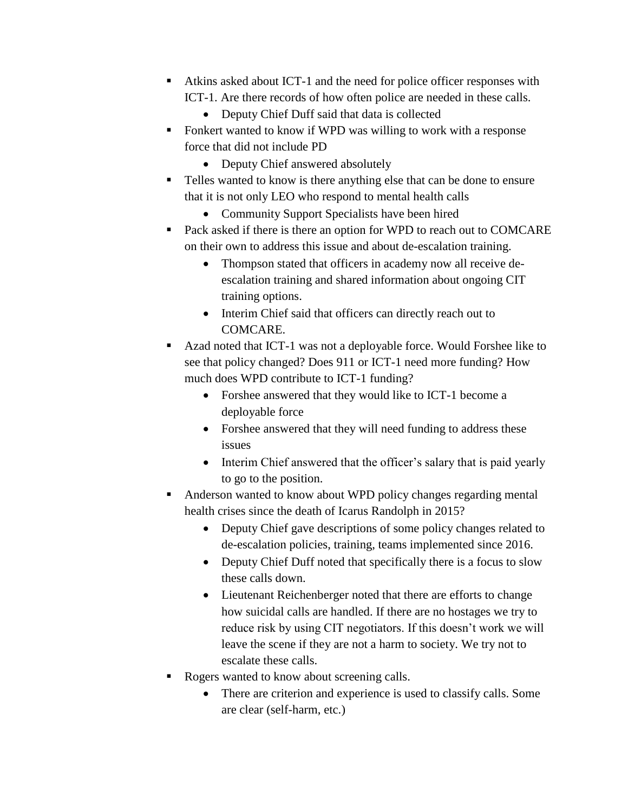- Atkins asked about ICT-1 and the need for police officer responses with ICT-1. Are there records of how often police are needed in these calls.
	- Deputy Chief Duff said that data is collected
- Fonkert wanted to know if WPD was willing to work with a response force that did not include PD
	- Deputy Chief answered absolutely
- Telles wanted to know is there anything else that can be done to ensure that it is not only LEO who respond to mental health calls
	- Community Support Specialists have been hired
- Pack asked if there is there an option for WPD to reach out to COMCARE on their own to address this issue and about de-escalation training.
	- Thompson stated that officers in academy now all receive deescalation training and shared information about ongoing CIT training options.
	- Interim Chief said that officers can directly reach out to COMCARE.
- Azad noted that ICT-1 was not a deployable force. Would Forshee like to see that policy changed? Does 911 or ICT-1 need more funding? How much does WPD contribute to ICT-1 funding?
	- Forshee answered that they would like to ICT-1 become a deployable force
	- Forshee answered that they will need funding to address these issues
	- Interim Chief answered that the officer's salary that is paid yearly to go to the position.
- Anderson wanted to know about WPD policy changes regarding mental health crises since the death of Icarus Randolph in 2015?
	- Deputy Chief gave descriptions of some policy changes related to de-escalation policies, training, teams implemented since 2016.
	- Deputy Chief Duff noted that specifically there is a focus to slow these calls down.
	- Lieutenant Reichenberger noted that there are efforts to change how suicidal calls are handled. If there are no hostages we try to reduce risk by using CIT negotiators. If this doesn't work we will leave the scene if they are not a harm to society. We try not to escalate these calls.
- Rogers wanted to know about screening calls.
	- There are criterion and experience is used to classify calls. Some are clear (self-harm, etc.)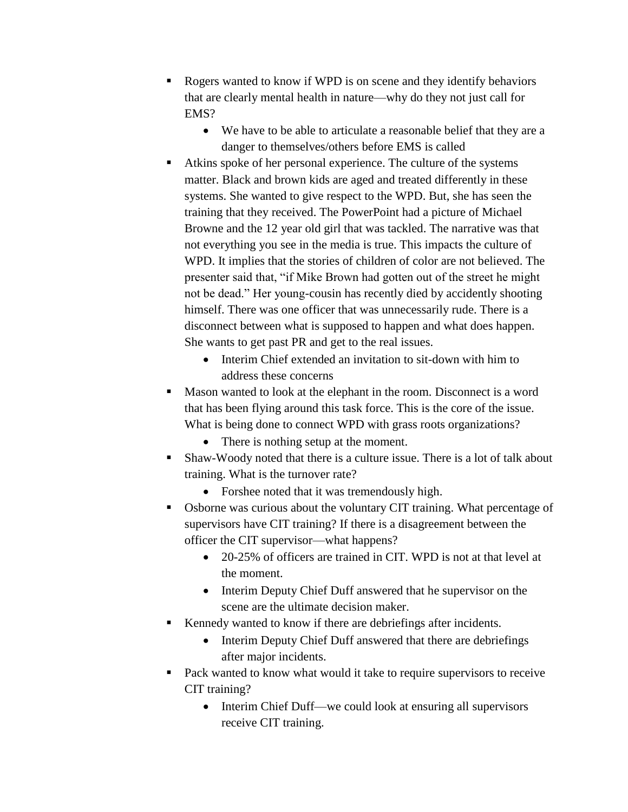- Rogers wanted to know if WPD is on scene and they identify behaviors that are clearly mental health in nature—why do they not just call for EMS?
	- We have to be able to articulate a reasonable belief that they are a danger to themselves/others before EMS is called
- Atkins spoke of her personal experience. The culture of the systems matter. Black and brown kids are aged and treated differently in these systems. She wanted to give respect to the WPD. But, she has seen the training that they received. The PowerPoint had a picture of Michael Browne and the 12 year old girl that was tackled. The narrative was that not everything you see in the media is true. This impacts the culture of WPD. It implies that the stories of children of color are not believed. The presenter said that, "if Mike Brown had gotten out of the street he might not be dead." Her young-cousin has recently died by accidently shooting himself. There was one officer that was unnecessarily rude. There is a disconnect between what is supposed to happen and what does happen. She wants to get past PR and get to the real issues.
	- Interim Chief extended an invitation to sit-down with him to address these concerns
- Mason wanted to look at the elephant in the room. Disconnect is a word that has been flying around this task force. This is the core of the issue. What is being done to connect WPD with grass roots organizations?
	- There is nothing setup at the moment.
- Shaw-Woody noted that there is a culture issue. There is a lot of talk about training. What is the turnover rate?
	- Forshee noted that it was tremendously high.
- Osborne was curious about the voluntary CIT training. What percentage of supervisors have CIT training? If there is a disagreement between the officer the CIT supervisor—what happens?
	- 20-25% of officers are trained in CIT. WPD is not at that level at the moment.
	- Interim Deputy Chief Duff answered that he supervisor on the scene are the ultimate decision maker.
- Kennedy wanted to know if there are debriefings after incidents.
	- Interim Deputy Chief Duff answered that there are debriefings after major incidents.
- Pack wanted to know what would it take to require supervisors to receive CIT training?
	- Interim Chief Duff—we could look at ensuring all supervisors receive CIT training.